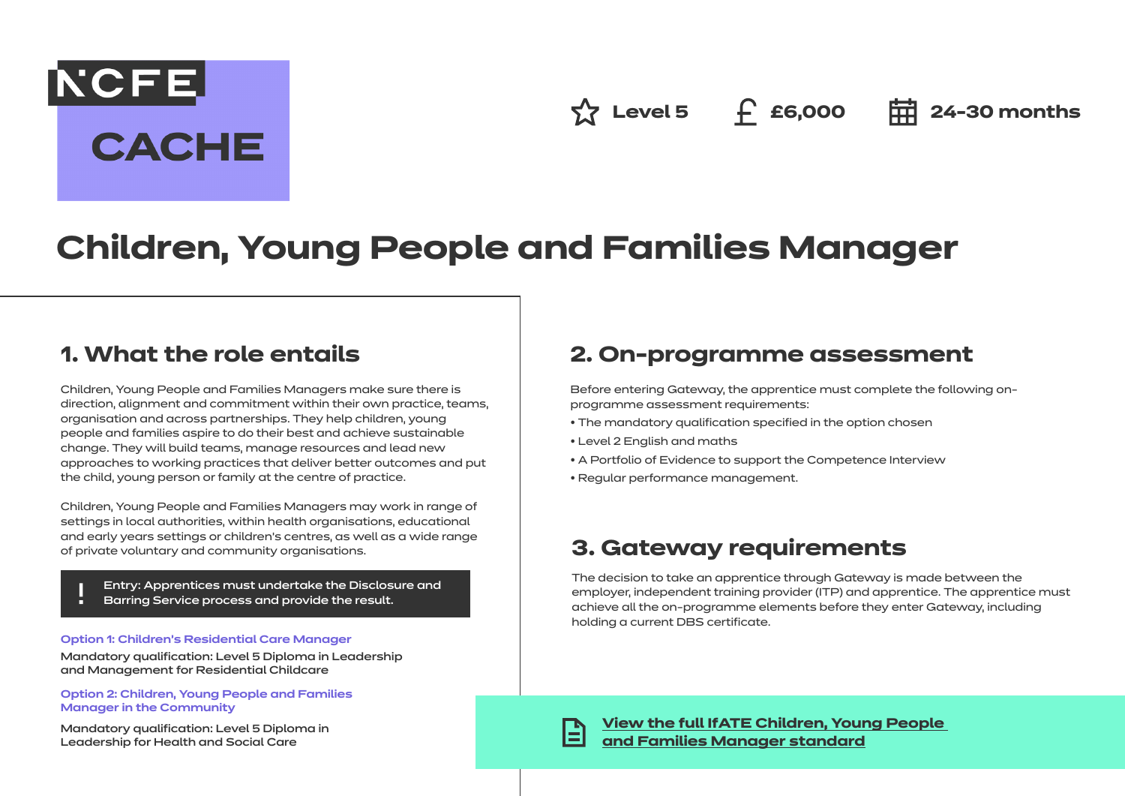**NCFE CACHE** 

 $\hat{X}$  Level 5 **f** £6,000 **= = 24-30 months** 

# **Children, Young People and Families Manager**

### **1. What the role entails**

Children, Young People and Families Managers make sure there is direction, alignment and commitment within their own practice, teams, organisation and across partnerships. They help children, young people and families aspire to do their best and achieve sustainable change. They will build teams, manage resources and lead new approaches to working practices that deliver better outcomes and put the child, young person or family at the centre of practice.

Children, Young People and Families Managers may work in range of settings in local authorities, within health organisations, educational and early years settings or children's centres, as well as a wide range of private voluntary and community organisations.

- Entry: Apprentices must undertake the Disclosure and
- Barring Service process and provide the result.

#### **Option 1: Children's Residential Care Manager**

Mandatory qualification: Level 5 Diploma in Leadership and Management for Residential Childcare

**Option 2: Children, Young People and Families Manager in the Community**

Mandatory qualification: Level 5 Diploma in Leadership for Health and Social Care

### **2. On-programme assessment**

Before entering Gateway, the apprentice must complete the following onprogramme assessment requirements:

- The mandatory qualification specified in the option chosen
- Level 2 English and maths
- A Portfolio of Evidence to support the Competence Interview
- Regular performance management.

### **3. Gateway requirements**

The decision to take an apprentice through Gateway is made between the employer, independent training provider (ITP) and apprentice. The apprentice must achieve all the on-programme elements before they enter Gateway, including holding a current DBS certificate.

**[View the full IfATE Children, Young People](https://www.instituteforapprenticeships.org/apprenticeship-standards/healthcare-assistant-practitioner/)  [and Families Manager standard](https://www.instituteforapprenticeships.org/apprenticeship-standards/children,-young-people-and-families-manager-v1-0)**